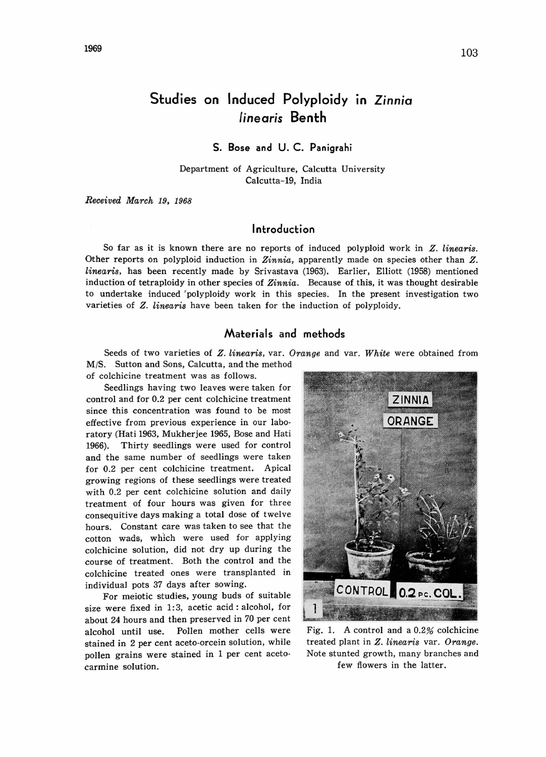# Studies on Induced Polyploidy in Zinnia linearis Benth

### S. Bose and U. C. Panigrahi

Department of Agriculture, Calcutta University Calcutta-19, India

Received March 19, 1968

# Introduction

So far as it is known there are no reports of induced polyploid work in Z. linearis. Other reports on polyploid induction in Zinnia, apparently made on species other than Z. linearis, has been recently made by Srivastava (1963). Earlier, Elliott (1958) mentioned induction of tetraploidy in other species of  $Zinnia$ . Because of this, it was thought desirable to undertake induced polyploidy work in this species. In the present investigation two varieties of Z. linearis have been taken for the induction of polyploidy.

## Materials and methods

Seeds of two varieties of Z. linearis, var. Orange and var. White were obtained from M/S. Sutton and Sons, Calcutta, and the method

of colchicine treatment was as follows.

Seedlings having two leaves were taken for control and for 0.2 per cent colchicine treatment since this concentration was found to be most effective from previous experience in our labo ratory (Hati 1963, Mukherjee 1965, Bose and Hati 1966). Thirty seedlings were used for control and the same number of seedlings were taken for 0.2 per cent colchicine treatment. Apical growing regions of these seedlings were treated with 0.2 per cent colchicine solution and daily treatment of four hours was given for three consequitive days making a total dose of twelve hours. Constant care was taken to see that the cotton wads, which were used for applying colchicine solution, did not dry up during the course of treatment. Both the control and the colchicine treated ones were transplanted in individual pots 37 days after sowing.

For meiotic studies, young buds of suitable size were fixed in 1:3, acetic acid: alcohol, for about 24 hours and then preserved in 70 per cent alcohol until use. Pollen mother cells were stained in 2 per cent aceto-orcein solution, while pollen grains were stained in 1 per cent acetocarmine solution.



Fig. 1. A control and a 0.2% colchicine treated plant in Z. linearis var. Orange. Note stunted growth, many branches and few flowers in the latter.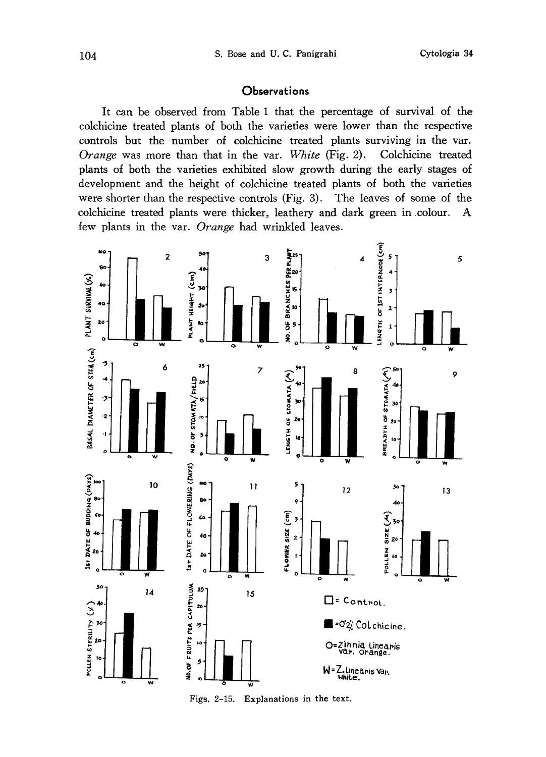## **Observations**

It can be observed from Table 1 that the percentage of survival of the colchicine treated plants of both the varieties were lower than the respective controls but the number of colchicine treated plants surviving in the var. Orange was more than that in the var. White (Fig. 2). Colchicine treated plants of both the varieties exhibited slow growth during the early stages of development and the height of colchicine treated plants of both the varieties were shorter than the respective controls (Fig. 3). The leaves of some of the colchicine treated plants were thicker, leathery and dark green in colour. A few plants in the var. Orange had wrinkled leaves.

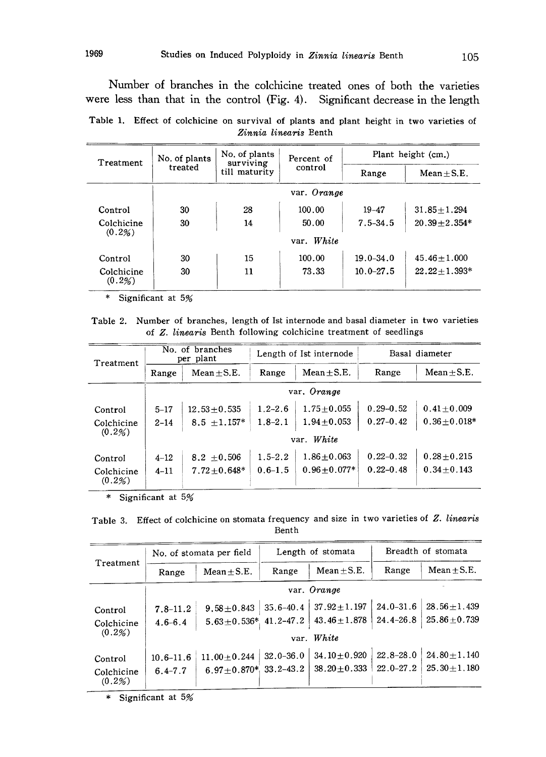Number of branches in the colchicine treated ones of both the varieties were less than that in the control (Fig. 4). Significant decrease in the length

Table 1. Effect of colchicine on survival of plants and plant height in two varieties of Zinnia linearis Benth

| Treatment               | No. of plants | No. of plants<br>surviving | Percent of  | Plant height (cm.) |                  |  |
|-------------------------|---------------|----------------------------|-------------|--------------------|------------------|--|
|                         | treated       | till maturity              | control     | Range              | $Mean \pm S.E.$  |  |
|                         |               |                            | var. Orange |                    |                  |  |
| Control                 | 30            | 28                         | 100.00      | $19 - 47$          | $31.85 + 1.294$  |  |
| Colchicine              | 30            | 14                         | 50.00       | $7.5 - 34.5$       | $20.39 + 2.354*$ |  |
| $(0.2\%)$               |               |                            | var. White  |                    |                  |  |
| Control                 | 30            | 15                         | 100.00      | $19.0 - 34.0$      | $45.46 + 1.000$  |  |
| Colchicine<br>$(0.2\%)$ | 30            | 11                         | 73.33       | $10.0 - 27.5$      | $22.22 + 1.393*$ |  |

\* Significant at 5%

Table 2. Number of branches, length of Ist internode and basal diameter in two varieties of Z. linearis Benth following colchicine treatment of seedlings

| Treatment               | No. of branches<br>per plant |                   | Length of Ist internode |                  | Basal diameter |                  |  |  |
|-------------------------|------------------------------|-------------------|-------------------------|------------------|----------------|------------------|--|--|
|                         | Range                        | $Mean + S.E.$     | Range                   | Mean $\pm$ S.E.  | Range          | $Mean + S.E.$    |  |  |
|                         |                              |                   |                         | var. Orange      |                |                  |  |  |
| Control                 | $5 - 17$                     | $12.53 + 0.535$   | $1.2 - 2.6$             | $1.75 + 0.055$   | $0.29 - 0.52$  | $0.41 \pm 0.009$ |  |  |
| Colchicine              | $2 - 14$                     | $8.5 \pm 1.157*$  | $1.8 - 2.1$             | $1.94 \pm 0.053$ | $0.27 - 0.42$  | $0.36 + 0.018*$  |  |  |
| (0.2%)                  | var. White                   |                   |                         |                  |                |                  |  |  |
| Control                 | $4 - 12$                     | $8.2 + 0.506$     | $1.5 - 2.2$             | $1.86 + 0.063$   | $0.22 - 0.32$  | $0.28 + 0.215$   |  |  |
| Colchicine<br>$(0.2\%)$ | $4 - 11$                     | $7.72 \pm 0.648*$ | $0.6 - 1.5$             | $0.96 + 0.077*$  | $0.22 - 0.48$  | $0.34 + 0.143$   |  |  |

\* Significant at 5%

| Table 3. Effect of colchicine on stomata frequency and size in two varieties of Z. linearis |  |  |  |
|---------------------------------------------------------------------------------------------|--|--|--|
| Benth                                                                                       |  |  |  |

| Treatment                       | No. of stomata per field     |                                                  | Length of stomata |                                        | Breadth of stomata             |                                        |  |
|---------------------------------|------------------------------|--------------------------------------------------|-------------------|----------------------------------------|--------------------------------|----------------------------------------|--|
|                                 | Range                        | Mean $\pm$ S.E.                                  | Range             | $Mean \pm S.E.$                        | Range                          | $Mean + S.E.$                          |  |
|                                 | var. Orange                  |                                                  |                   |                                        |                                |                                        |  |
| Control<br>Colchicine           | $7.8 - 11.2$<br>$4.6 - 6.4$  | $9.58 \pm 0.843$<br>$5.63 \pm 0.536$ * 41.2-47.2 | $35.6 - 40.4$     | $37.92 \pm 1.197$<br>$43.46 \pm 1.878$ | $24.0 - 31.6$<br>$24.4 - 26.8$ | $28.56 \pm 1.439$<br>$25.86 + 0.739$   |  |
| (0.2%)                          | var. White                   |                                                  |                   |                                        |                                |                                        |  |
| Control<br>Colchicine<br>(0.2%) | $10.6 - 11.6$<br>$6.4 - 7.7$ | $11.00 + 0.244$<br>$6.97 \pm 0.870*$ 33.2-43.2   | $32.0 - 36.0$     | $34.10 + 0.920$<br>$38.20 + 0.333$     | $22.8 - 28.0$<br>$22.0 - 27.2$ | $24.80 \pm 1.140$<br>$25.30 \pm 1.180$ |  |

\* Significant at 5%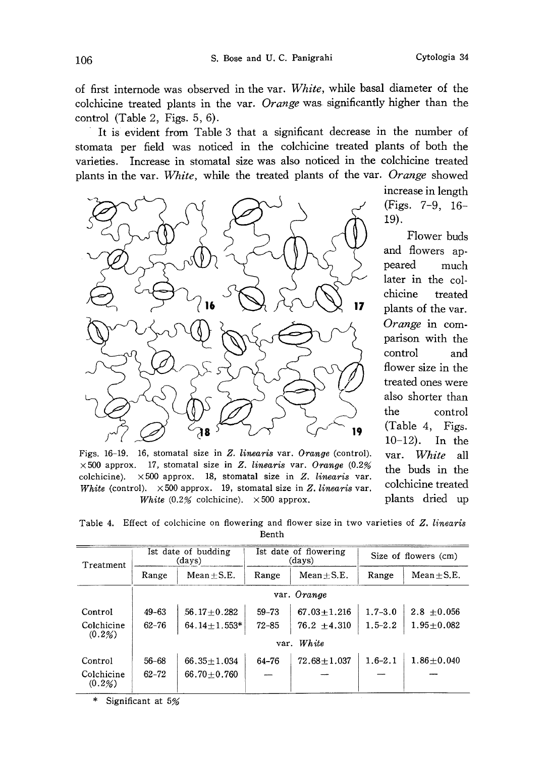of first internode was observed in the var. White, while basal diameter of the colchicine treated plants in the var. Orange was significantly higher than the control (Table 2, Figs. 5, 6).

It is evident from Table 3 that a significant decrease in the number of stomata per field was noticed in the colchicine treated plants of both the varieties. Increase in stomatal size was also noticed in the colchicine treated plants in the var. White, while the treated plants of the var. Orange showed



Figs. 16-19. 16, stomatal size in Z. linearis var. Orange (control).  $\times$  500 approx. 17, stomatal size in Z. linearis var. Orange (0.2%) colchicine).  $\times 500$  approx. 18, stomatal size in Z. linearis var. White (control).  $\times 500$  approx. 19, stomatal size in Z. linearis var. White  $(0.2\%$  colchicine).  $\times 500$  approx.

increase in length (Figs. 7-9, 16 -19).

Flower buds and flowers ap peared much later in the col chicine treated plants of the var. Orange in com parison with the control and flower size in the treated ones were also shorter than the control (Table 4, Figs. 10-12). In the var. White all the buds in the colchicine treated plants dried up

Table 4. Effect of colchicine on flowering and flower size in two varieties of Z. linearis Benth

| Treatment               | Ist date of budding<br>(days) |                   | Ist date of flowering<br>(days) |                   | Size of flowers (cm) |                |  |
|-------------------------|-------------------------------|-------------------|---------------------------------|-------------------|----------------------|----------------|--|
|                         | Range                         | $Mean + S.E.$     | Range                           | $Mean + S.E.$     | Range                | $Mean + S.E.$  |  |
|                         | var. Orange                   |                   |                                 |                   |                      |                |  |
| Control                 | $49 - 63$                     | $56.17 + 0.282$   | $59 - 73$                       | $67.03 \pm 1.216$ | $1.7 - 3.0$          | $2.8 + 0.056$  |  |
| Colchicine<br>$(0.2\%)$ | 62–76                         | $64.14 + 1.553*$  | $72 - 85$                       | $76.2 + 4.310$    | $1.5 - 2.2$          | $1.95 + 0.082$ |  |
|                         | var. White                    |                   |                                 |                   |                      |                |  |
| Control                 | 56-68                         | $66.35 + 1.034$   | 64-76                           | $72.68 + 1.037$   | $1.6 - 2.1$          | $1.86 + 0.040$ |  |
| Colchicine<br>(0.2%)    | $62 - 72$                     | $66.70 \pm 0.760$ |                                 |                   |                      |                |  |

Significant at 5%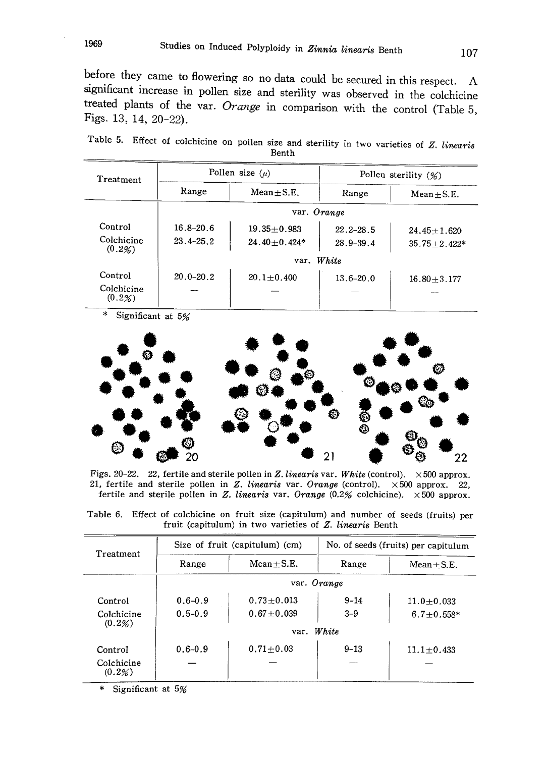before they came to flowering so no data could be secured i n this respect. A significant increase in pollen size and sterility was observed in the colchicine treated plants of the var. Orange in comparison with the control (Table 5, Figs. 13, 14, 20-22).

Table 5. Effect of colchicine on pollen size and sterility in two varieties of  $Z$ . *linear* Benth

| Treatment            |               | Pollen size $(\mu)$    | Pollen sterility $(\%)$ |                  |  |  |
|----------------------|---------------|------------------------|-------------------------|------------------|--|--|
|                      | Range         | $Mean + S.E.$<br>Range |                         | $Mean + S.E.$    |  |  |
|                      |               | var. Orange            |                         |                  |  |  |
| Control              | $16.8 - 20.6$ | $19.35 + 0.983$        | $22.2 - 28.5$           | $24.45 + 1.620$  |  |  |
| Colchicine<br>(0.2%) | $23.4 - 25.2$ | $24.40 + 0.424*$       |                         | $35.75 + 2.422*$ |  |  |
|                      | White<br>var. |                        |                         |                  |  |  |
| Control              | $20.0 - 20.2$ | $20.1 \pm 0.400$       | $13.6 - 20.0$           | $16.80 + 3.177$  |  |  |
| Colchicine<br>(0.2%) |               |                        |                         |                  |  |  |

Significant at 5%



Figs. 20-22. 22, fertile and sterile pollen in Z. linearis var. White (control).  $\times$  500 approx. 21, fertile and sterile pollen in Z. linearis var. Orange (control).  $\times 500$  approx. 22, fertile and sterile pollen in Z. linearis var. Orange  $(0.2%$  colchicine).  $\times 500$  approx.

Table 6. Effect of colchicine on fruit size (capitulum) and number of seeds (fruits) per fruit (capitulum) in two varieties of Z. linearis Benth

| Treatment            |                               | Size of fruit (capitulum) (cm) | No. of seeds (fruits) per capitulum |                |  |  |  |
|----------------------|-------------------------------|--------------------------------|-------------------------------------|----------------|--|--|--|
|                      | Range                         | $Mean + S.E.$                  | Range                               | $Mean + S.E.$  |  |  |  |
|                      | var. Orange                   |                                |                                     |                |  |  |  |
| Control              | $0.6 - 0.9$                   | $0.73 + 0.013$                 | $9 - 14$                            | $11.0 + 0.033$ |  |  |  |
| Colchicine           | $0.67 + 0.039$<br>$0.5 - 0.9$ |                                | $3 - 9$                             | $6.7 + 0.558*$ |  |  |  |
| (0.2%)               | var. White                    |                                |                                     |                |  |  |  |
| Control              | $0.6 - 0.9$                   | $0.71 + 0.03$                  | $9 - 13$                            | $11.1 + 0.433$ |  |  |  |
| Colchicine<br>(0.2%) |                               |                                |                                     |                |  |  |  |

Significant at 5%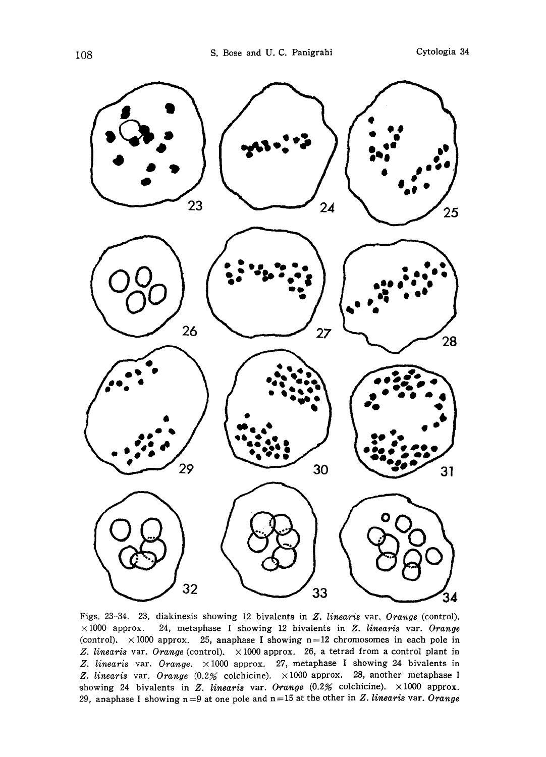

Figs. 23-34. 23, diakinesis showing 12 bivalents in Z. linearis var. Orange (control).  $\times 1000$  approx. 24, metaphase I showing 12 bivalents in Z. linearis var. Orange (control).  $\times 1000$  approx. 25, anaphase I showing n=12 chromosomes in each pole in Z. linearis var. Orange (control).  $\times 1000$  approx. 26, a tetrad from a control plant in Z. linearis var. Orange.  $\times 1000$  approx. 27, metaphase I showing 24 bivalents in Z. linearis var. Orange  $(0.2)$  colchicine).  $\times 1000$  approx. 28, another metaphase I showing 24 bivalents in Z. linearis var. Orange  $(0.2%$  colchicine).  $\times 1000$  approx. 29, anaphase I showing  $n=9$  at one pole and  $n=15$  at the other in Z. linearis var. Orange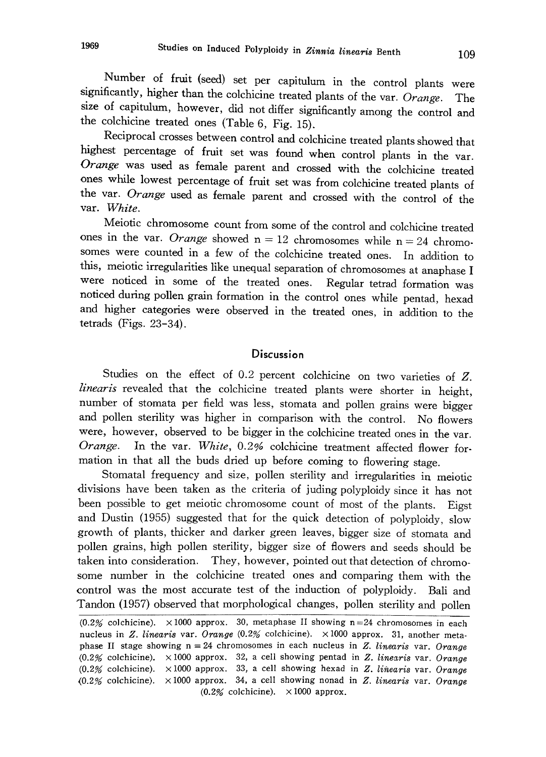Number of fruit (seed) set per capitulum in the control plants were<br>significantly, higher than the colchicine treated plants of the Co significantly, higher than the colchicine treated plants of the var. Orange. The size of capitulum, however, did not differ significantly among the control and the colchicine treated ones (Table 6 , Fig. 15).

Reciprocal crosses between control and colchicine treated plants showed that highest percentage of fruit set was found when control plants in the var. range was used as female parent and crossed with the colchicine treated ones while lowest percentage of fruit set was from colchicine treated pl ants of the var. Orange used as female parent and crossed with the control of the var. White.

Meiotic chromosome count from some of the control and colchicine treated ones in the var. Orange showed  $n=12$  chromosomes while  $n=24$  chromosomes were counted in a few of the colchicine treated ones. In addition to this, meiotic irregularities like unequal separation of chromosomes at anaphase I were noticed in some of the treated ones . Regular tetrad formation was noticed during pollen grain formation in the control ones while pentad , hexad and higher categories were observed in the treated ones , in addition to the tetrads (Figs. 23-34).

## **Discussion**

Studies on the effect of 0.2 percent colchicine on two varieties of Z. linearis revealed that the colchicine treated plants were shorter in height, number of stomata per field was less, stomata and pollen grains were bigger and pollen sterility was higher in comparison with the control. No flowers were, however, observed to be bigger in the colchicine treated ones in the var . Orange. In the var. White, 0.2% colchicine treatment affected flower formation in that all the buds dried up before coming to flowering stage .

Stomatal frequency and size, pollen sterility and irregularities in meiotic divisions have been taken as the criteria of juding polyploidy since it has not been possible to get meiotic chromosome count of most of the plants. Eigst and Dustin (1955) suggested that for the quick detection of polyploidy , slow growth of plants, thicker and darker green leaves, bigger size of stomata and pollen grains, high pollen sterility, bigger size of flowers and seeds should be taken into consideration. They, however, pointed out that detection of chromo some number in the colchicine treated ones and comparing them with the control was the most accurate test of the induction of polyploidy. Bali and Tandon (1957) observed that morphological changes, pollen sterility and pollen

(0.2% colchicine).  $\times$ 1000 approx. 30, metaphase II showing n=24 chromosomes in each nucleus in Z. linearis var. Orange  $(0.2\%$  colchicine).  $\times 1000$  approx. 31, another metaphase II stage showing  $n=24$  chromosomes in each nucleus in Z. linearis var. Orange (0.2% colchicine).  $\times$  1000 approx. 32, a cell showing pentad in Z. linearis var. Orange (0.2% colchicine).  $\times$ 1000 approx. 33, a cell showing hexad in Z. linearis var. Orange (0.2% colchicine).  $\times$ 1000 approx. 34, a cell showing nonad in Z. linearis var. Orange  $(0.2\%$  colchicine).  $\times 1000$  approx.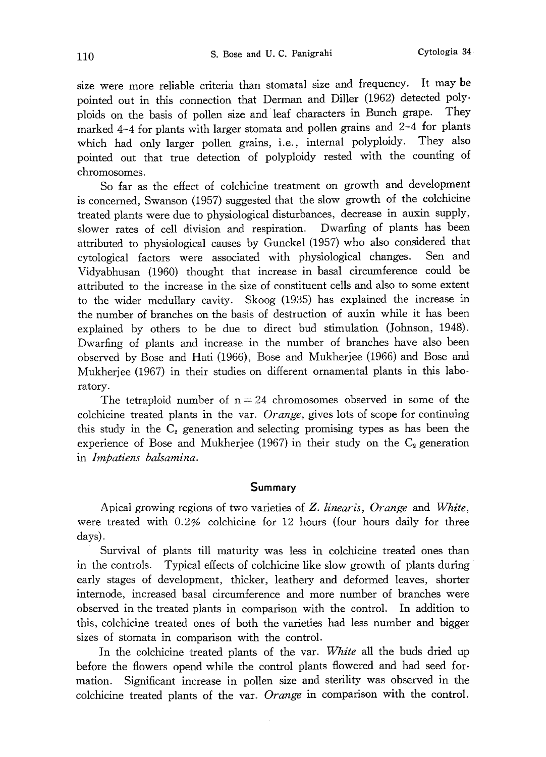size were more reliable criteria than stomatal size and frequency. It may be pointed out in this connection that Derman and Diller (1962) detected poly ploids on the basis of pollen size and leaf characters in Bunch grape. They marked 4-4 for plants with larger stomata and pollen grains and 2-4 for plants which had only larger pollen grains, i.e., internal polyploidy. They also pointed out that true detection of polyploidy rested with the counting of chromosomes.

So far as the effect of colchicine treatment on growth and development is concerned, Swanson (1957) suggested that the slow growth of the colchicine treated plants were due to physiological disturbances, decrease in auxin supply, slower rates of cell division and respiration. Dwarfing of plants has been attributed to physiological causes by Gunckel (1957) who also considered that cytological factors were associated with physiological changes. Sen and Vidyabhusan (1960) thought that increase in basal circumference could be attributed to the increase in the size of constituent cells and also to some extent to the wider medullary cavity. Skoog (1935) has explained the increase in the number of branches on the basis of destruction of auxin while it has been explained by others to be due to direct bud stimulation (Johnson, 1948). Dwarfing of plants and increase in the number of branches have also been observed by Bose and Hati (1966), Bose and Mukherjee (1966) and Bose and Mukherjee (1967) in their studies on different ornamental plants in this labo ratory.

The tetraploid number of  $n=24$  chromosomes observed in some of the colchicine treated plants in the var. Orange, gives lots of scope for continuing this study in the  $C_2$  generation and selecting promising types as has been the experience of Bose and Mukherjee (1967) in their study on the  $C_2$  generation in Impatiens balsamina.

### Summary

Apical growing regions of two varieties of Z. linearis, Orange and White, were treated with 0.2% colchicine for 12 hours (four hours daily for three days).

Survival of plants till maturity was less in colchicine treated ones than in the controls. Typical effects of colchicine like slow growth of plants during early stages of development, thicker, leathery and deformed leaves, shorter internode, increased basal circumference and more number of branches were observed in the treated plants in comparison with the control. In addition to this, colchicine treated ones of both the varieties had less number and bigger sizes of stomata in comparison with the control.

In the colchicine treated plants of the var. White all the buds dried up before the flowers opend while the control plants flowered and had seed for mation. Significant increase in pollen size and sterility was observed in the colchicine treated plants of the var. Orange in comparison with the control.